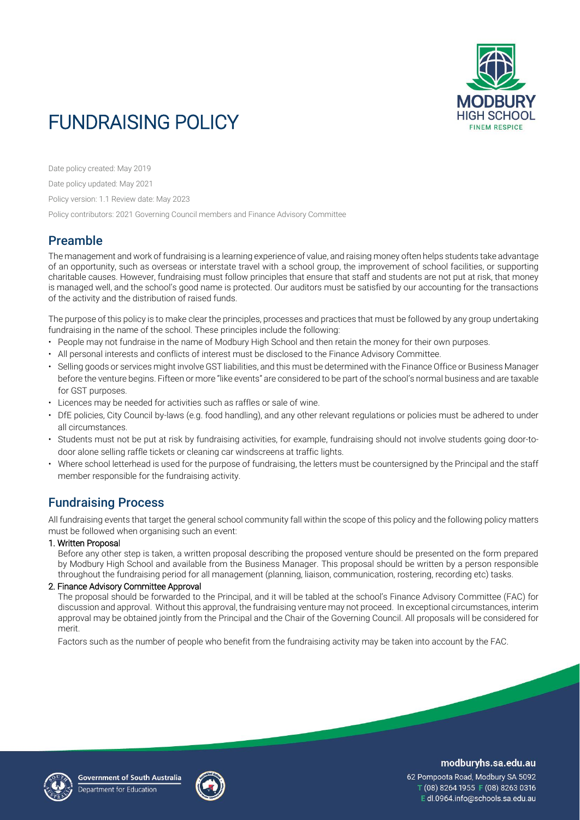

# FUNDRAISING POLICY

Date policy created: May 2019

Date policy updated: May 2021

Policy version: 1.1 Review date: May 2023

Policy contributors: 2021 Governing Council members and Finance Advisory Committee

# Preamble

The management and work of fundraising is a learning experience of value, and raising money often helps students take advantage of an opportunity, such as overseas or interstate travel with a school group, the improvement of school facilities, or supporting charitable causes. However, fundraising must follow principles that ensure that staff and students are not put at risk, that money is managed well, and the school's good name is protected. Our auditors must be satisfied by our accounting for the transactions of the activity and the distribution of raised funds.

The purpose of this policy is to make clear the principles, processes and practices that must be followed by any group undertaking fundraising in the name of the school. These principles include the following:

- People may not fundraise in the name of Modbury High School and then retain the money for their own purposes.
- All personal interests and conflicts of interest must be disclosed to the Finance Advisory Committee.
- Selling goods or services might involve GST liabilities, and this must be determined with the Finance Office or Business Manager before the venture begins. Fifteen or more "like events" are considered to be part of the school's normal business and are taxable for GST purposes.
- Licences may be needed for activities such as raffles or sale of wine.
- DfE policies, City Council by-laws (e.g. food handling), and any other relevant regulations or policies must be adhered to under all circumstances.
- Students must not be put at risk by fundraising activities, for example, fundraising should not involve students going door-todoor alone selling raffle tickets or cleaning car windscreens at traffic lights.
- Where school letterhead is used for the purpose of fundraising, the letters must be countersigned by the Principal and the staff member responsible for the fundraising activity.

# Fundraising Process

All fundraising events that target the general school community fall within the scope of this policy and the following policy matters must be followed when organising such an event:

# 1. Written Proposal

Before any other step is taken, a written proposal describing the proposed venture should be presented on the form prepared by Modbury High School and available from the Business Manager. This proposal should be written by a person responsible throughout the fundraising period for all management (planning, liaison, communication, rostering, recording etc) tasks.

# 2. Finance Advisory Committee Approval

The proposal should be forwarded to the Principal, and it will be tabled at the school's Finance Advisory Committee (FAC) for discussion and approval. Without this approval, the fundraising venture may not proceed. In exceptional circumstances, interim approval may be obtained jointly from the Principal and the Chair of the Governing Council. All proposals will be considered for merit.

Factors such as the number of people who benefit from the fundraising activity may be taken into account by the FAC.





modburyhs.sa.edu.au

62 Pompoota Road, Modbury SA 5092 T (08) 8264 1955 F (08) 8263 0316 Edl.0964.info@schools.sa.edu.au